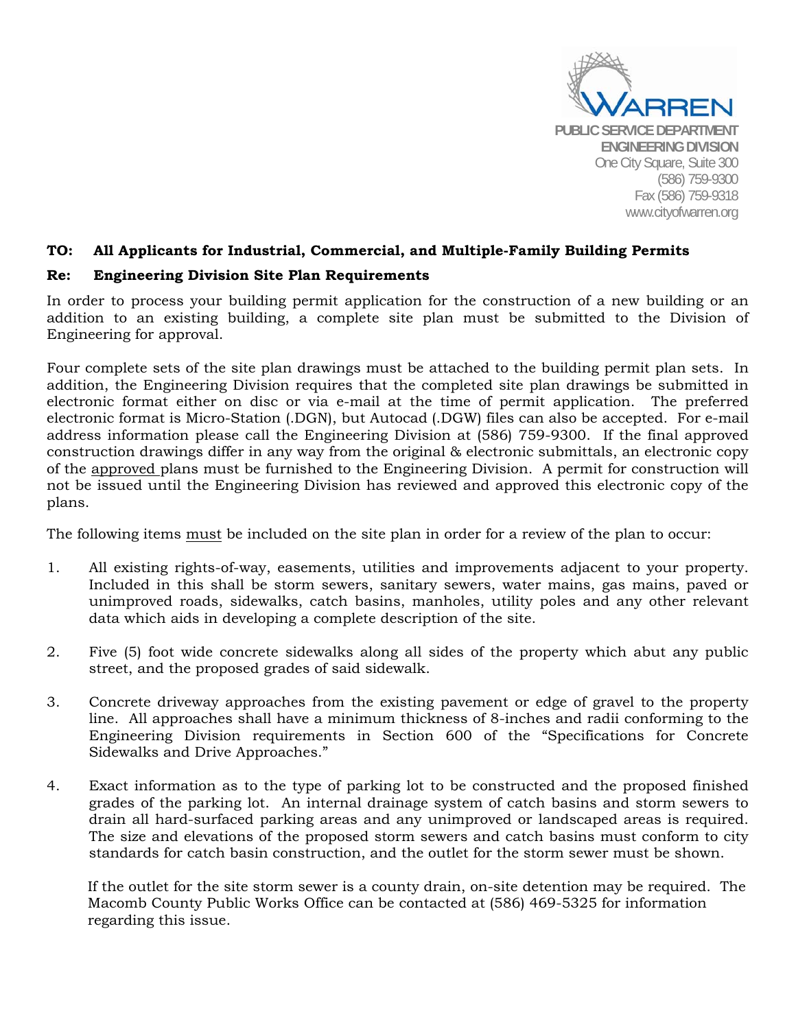

## **TO: All Applicants for Industrial, Commercial, and Multiple-Family Building Permits**

## **Re: Engineering Division Site Plan Requirements**

In order to process your building permit application for the construction of a new building or an addition to an existing building, a complete site plan must be submitted to the Division of Engineering for approval.

Four complete sets of the site plan drawings must be attached to the building permit plan sets. In addition, the Engineering Division requires that the completed site plan drawings be submitted in electronic format either on disc or via e-mail at the time of permit application. The preferred electronic format is Micro-Station (.DGN), but Autocad (.DGW) files can also be accepted. For e-mail address information please call the Engineering Division at (586) 759-9300. If the final approved construction drawings differ in any way from the original & electronic submittals, an electronic copy of the approved plans must be furnished to the Engineering Division. A permit for construction will not be issued until the Engineering Division has reviewed and approved this electronic copy of the plans.

The following items must be included on the site plan in order for a review of the plan to occur:

- 1. All existing rights-of-way, easements, utilities and improvements adjacent to your property. Included in this shall be storm sewers, sanitary sewers, water mains, gas mains, paved or unimproved roads, sidewalks, catch basins, manholes, utility poles and any other relevant data which aids in developing a complete description of the site.
- 2. Five (5) foot wide concrete sidewalks along all sides of the property which abut any public street, and the proposed grades of said sidewalk.
- 3. Concrete driveway approaches from the existing pavement or edge of gravel to the property line. All approaches shall have a minimum thickness of 8-inches and radii conforming to the Engineering Division requirements in Section 600 of the "Specifications for Concrete Sidewalks and Drive Approaches."
- 4. Exact information as to the type of parking lot to be constructed and the proposed finished grades of the parking lot. An internal drainage system of catch basins and storm sewers to drain all hard-surfaced parking areas and any unimproved or landscaped areas is required. The size and elevations of the proposed storm sewers and catch basins must conform to city standards for catch basin construction, and the outlet for the storm sewer must be shown.

If the outlet for the site storm sewer is a county drain, on-site detention may be required. The Macomb County Public Works Office can be contacted at (586) 469-5325 for information regarding this issue.